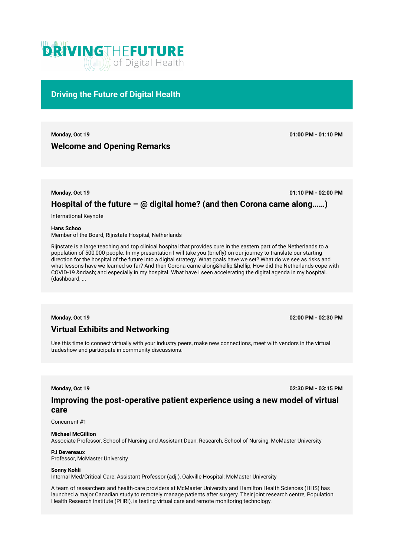

## **Driving the Future of Digital Health**

**Monday, Oct 19 01:00 PM - 01:10 PM**

# **Welcome and Opening Remarks**

**Monday, Oct 19 01:10 PM - 02:00 PM**

# **Hospital of the future – @ digital home? (and then Corona came along……)**

International Keynote

**Hans Schoo** 

Member of the Board, Rijnstate Hospital, Netherlands

Rijnstate is a large teaching and top clinical hospital that provides cure in the eastern part of the Netherlands to a population of 500,000 people. In my presentation I will take you (briefly) on our journey to translate our starting direction for the hospital of the future into a digital strategy. What goals have we set? What do we see as risks and what lessons have we learned so far? And then Corona came along…… How did the Netherlands cope with COVID-19 – and especially in my hospital. What have I seen accelerating the digital agenda in my hospital. (dashboard, ...

**Monday, Oct 19 02:00 PM - 02:30 PM**

# **Virtual Exhibits and Networking**

Use this time to connect virtually with your industry peers, make new connections, meet with vendors in the virtual tradeshow and participate in community discussions.

**Monday, Oct 19 02:30 PM - 03:15 PM**

## **Improving the post-operative patient experience using a new model of virtual care**

Concurrent #1

## **Michael McGillion**

Associate Professor, School of Nursing and Assistant Dean, Research, School of Nursing, McMaster University

## **PJ Devereaux**

Professor, McMaster University

### **Sonny Kohli**

Internal Med/Critical Care; Assistant Professor (adj.), Oakville Hospital; McMaster University

A team of researchers and health-care providers at McMaster University and Hamilton Health Sciences (HHS) has launched a major Canadian study to remotely manage patients after surgery. Their joint research centre, Population Health Research Institute (PHRI), is testing virtual care and remote monitoring technology.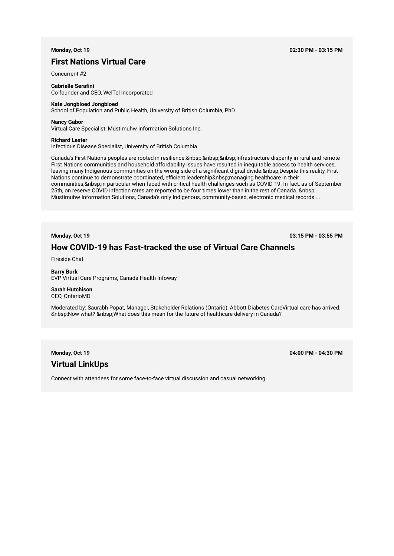## **First Nations Virtual Care**

Concurrent #2

**Gabrielle Serafini**  Co-founder and CEO, WelTel Incorporated

## **Kate Jongbloed Jongbloed**

School of Population and Public Health, University of British Columbia, PhD

## **Nancy Gabor**

Virtual Care Specialist, Mustimuhw Information Solutions Inc.

#### **Richard Lester**

Infectious Disease Specialist, University of British Columbia

Canada's First Nations peoples are rooted in resilience. Infrastructure disparity in rural and remote First Nations communities and household affordability issues have resulted in inequitable access to health services, leaving many Indigenous communities on the wrong side of a significant digital divide. Despite this reality, First Nations continue to demonstrate coordinated, efficient leadership managing healthcare in their communities, & nbsp;in particular when faced with critical health challenges such as COVID-19. In fact, as of September 25th, on reserve COVID infection rates are reported to be four times lower than in the rest of Canada. Mustimuhw Information Solutions, Canada's only Indigenous, community-based, electronic medical records ...

**Monday, Oct 19 03:15 PM - 03:55 PM**

## **How COVID-19 has Fast-tracked the use of Virtual Care Channels**

Fireside Chat

**Barry Burk**  EVP Virtual Care Programs, Canada Health Infoway

## **Sarah Hutchison**  CEO, OntarioMD

Moderated by: Saurabh Popat, Manager, Stakeholder Relations (Ontario), Abbott Diabetes CareVirtual care has arrived. Now what? What does this mean for the future of healthcare delivery in Canada?

## **Virtual LinkUps**

**Monday, Oct 19 04:00 PM - 04:30 PM**

Connect with attendees for some face-to-face virtual discussion and casual networking.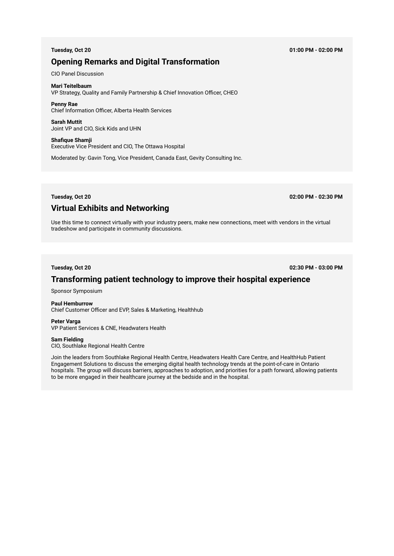## **Opening Remarks and Digital Transformation**

CIO Panel Discussion

## **Mari Teitelbaum**

VP Strategy, Quality and Family Partnership & Chief Innovation Officer, CHEO

### **Penny Rae**  Chief Information Officer, Alberta Health Services

**Sarah Muttit**  Joint VP and CIO, Sick Kids and UHN

# **Shafique Shamji**

Executive Vice President and CIO, The Ottawa Hospital

Moderated by: Gavin Tong, Vice President, Canada East, Gevity Consulting Inc.

**Tuesday, Oct 20 02:00 PM - 02:30 PM**

## **Virtual Exhibits and Networking**

Use this time to connect virtually with your industry peers, make new connections, meet with vendors in the virtual tradeshow and participate in community discussions.

**Tuesday, Oct 20 02:30 PM - 03:00 PM**

# **Transforming patient technology to improve their hospital experience**

Sponsor Symposium

## **Paul Hemburrow**

Chief Customer Officer and EVP, Sales & Marketing, Healthhub

### **Peter Varga**  VP Patient Services & CNE, Headwaters Health

## **Sam Fielding**

CIO, Southlake Regional Health Centre

Join the leaders from Southlake Regional Health Centre, Headwaters Health Care Centre, and HealthHub Patient Engagement Solutions to discuss the emerging digital health technology trends at the point-of-care in Ontario hospitals. The group will discuss barriers, approaches to adoption, and priorities for a path forward, allowing patients to be more engaged in their healthcare journey at the bedside and in the hospital.

**Tuesday, Oct 20 01:00 PM - 02:00 PM**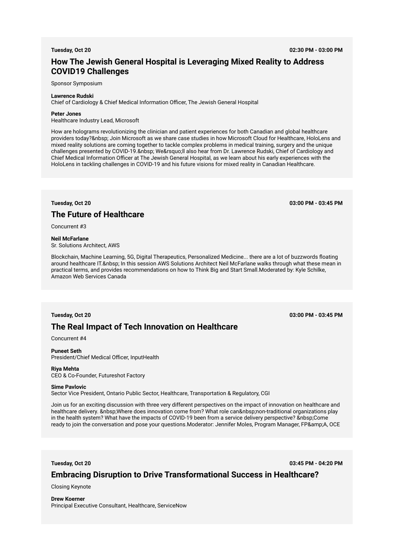**Tuesday, Oct 20 02:30 PM - 03:00 PM**

# **How The Jewish General Hospital is Leveraging Mixed Reality to Address COVID19 Challenges**

Sponsor Symposium

### **Lawrence Rudski**

Chief of Cardiology & Chief Medical Information Officer, The Jewish General Hospital

### **Peter Jones**

Healthcare Industry Lead, Microsoft

How are holograms revolutionizing the clinician and patient experiences for both Canadian and global healthcare providers today? & nbsp; Join Microsoft as we share case studies in how Microsoft Cloud for Healthcare, HoloLens and mixed reality solutions are coming together to tackle complex problems in medical training, surgery and the unique challenges presented by COVID-19. We' Il also hear from Dr. Lawrence Rudski, Chief of Cardiology and Chief Medical Information Officer at The Jewish General Hospital, as we learn about his early experiences with the HoloLens in tackling challenges in COVID-19 and his future visions for mixed reality in Canadian Healthcare.

**Tuesday, Oct 20 03:00 PM - 03:45 PM**

# **The Future of Healthcare**

Concurrent #3

## **Neil McFarlane**

Sr. Solutions Architect, AWS

Blockchain, Machine Learning, 5G, Digital Therapeutics, Personalized Medicine... there are a lot of buzzwords floating around healthcare IT. In this session AWS Solutions Architect Neil McFarlane walks through what these mean in practical terms, and provides recommendations on how to Think Big and Start Small.Moderated by: Kyle Schilke, Amazon Web Services Canada

## **Tuesday, Oct 20 03:00 PM - 03:45 PM**

## **The Real Impact of Tech Innovation on Healthcare**

Concurrent #4

## **Puneet Seth**

President/Chief Medical Officer, InputHealth

#### **Riya Mehta**  CEO & Co-Founder, Futureshot Factory

#### **Sime Pavlovic**

Sector Vice President, Ontario Public Sector, Healthcare, Transportation & Regulatory, CGI

Join us for an exciting discussion with three very different perspectives on the impact of innovation on healthcare and healthcare delivery. Where does innovation come from? What role can non-traditional organizations play in the health system? What have the impacts of COVID-19 been from a service delivery perspective? Come ready to join the conversation and pose your questions.Moderator: Jennifer Moles, Program Manager, FP&A, OCE

**Tuesday, Oct 20 03:45 PM - 04:20 PM**

## **Embracing Disruption to Drive Transformational Success in Healthcare?**

Closing Keynote

**Drew Koerner**  Principal Executive Consultant, Healthcare, ServiceNow